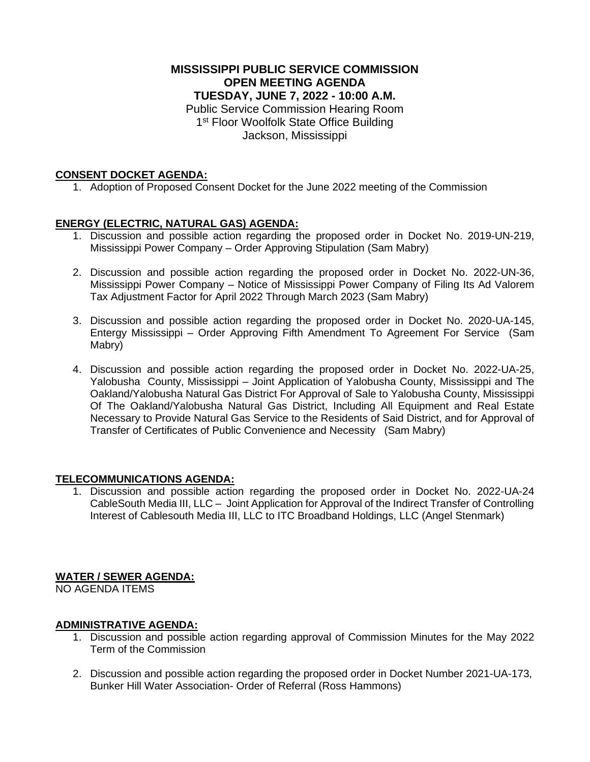### **MISSISSIPPI PUBLIC SERVICE COMMISSION OPEN MEETING AGENDA TUESDAY, JUNE 7, 2022 - 10:00 A.M.**

Public Service Commission Hearing Room 1<sup>st</sup> Floor Woolfolk State Office Building Jackson, Mississippi

### **CONSENT DOCKET AGENDA:**

1. Adoption of Proposed Consent Docket for the June 2022 meeting of the Commission

## **ENERGY (ELECTRIC, NATURAL GAS) AGENDA:**

- 1. Discussion and possible action regarding the proposed order in Docket No. 2019-UN-219, Mississippi Power Company – Order Approving Stipulation (Sam Mabry)
- 2. Discussion and possible action regarding the proposed order in Docket No. 2022-UN-36, Mississippi Power Company – Notice of Mississippi Power Company of Filing Its Ad Valorem Tax Adjustment Factor for April 2022 Through March 2023 (Sam Mabry)
- 3. Discussion and possible action regarding the proposed order in Docket No. 2020-UA-145, Entergy Mississippi – Order Approving Fifth Amendment To Agreement For Service (Sam Mabry)
- 4. Discussion and possible action regarding the proposed order in Docket No. 2022-UA-25, Yalobusha County, Mississippi – Joint Application of Yalobusha County, Mississippi and The Oakland/Yalobusha Natural Gas District For Approval of Sale to Yalobusha County, Mississippi Of The Oakland/Yalobusha Natural Gas District, Including All Equipment and Real Estate Necessary to Provide Natural Gas Service to the Residents of Said District, and for Approval of Transfer of Certificates of Public Convenience and Necessity (Sam Mabry)

### **TELECOMMUNICATIONS AGENDA:**

1. Discussion and possible action regarding the proposed order in Docket No. 2022-UA-24 CableSouth Media III, LLC – Joint Application for Approval of the Indirect Transfer of Controlling Interest of Cablesouth Media III, LLC to ITC Broadband Holdings, LLC (Angel Stenmark)

## **WATER / SEWER AGENDA:**

NO AGENDA ITEMS

### **ADMINISTRATIVE AGENDA:**

- 1. Discussion and possible action regarding approval of Commission Minutes for the May 2022 Term of the Commission
- 2. Discussion and possible action regarding the proposed order in Docket Number 2021-UA-173, Bunker Hill Water Association- Order of Referral (Ross Hammons)